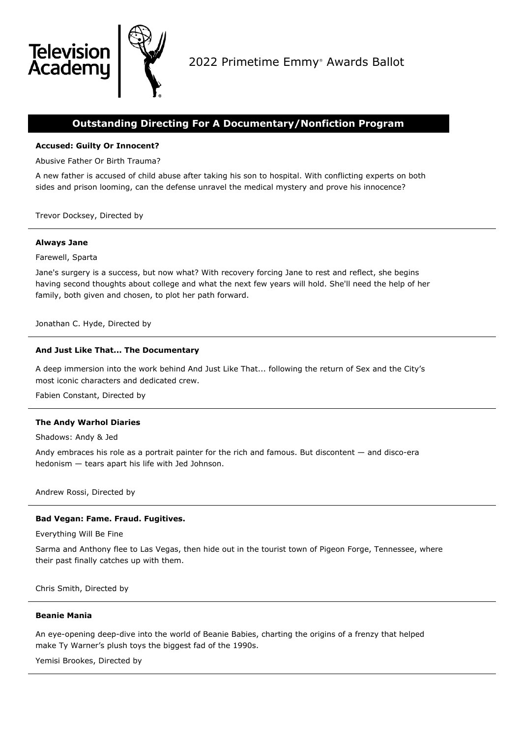

# **Outstanding Directing For A Documentary/Nonfiction Program**

# **Accused: Guilty Or Innocent?**

Abusive Father Or Birth Trauma?

A new father is accused of child abuse after taking his son to hospital. With conflicting experts on both sides and prison looming, can the defense unravel the medical mystery and prove his innocence?

Trevor Docksey, Directed by

# **Always Jane**

**Televisio** 

Academ

Farewell, Sparta

Jane's surgery is a success, but now what? With recovery forcing Jane to rest and reflect, she begins having second thoughts about college and what the next few years will hold. She'll need the help of her family, both given and chosen, to plot her path forward.

Jonathan C. Hyde, Directed by

# **And Just Like That... The Documentary**

A deep immersion into the work behind And Just Like That... following the return of Sex and the City's most iconic characters and dedicated crew.

Fabien Constant, Directed by

### **The Andy Warhol Diaries**

Shadows: Andy & Jed

Andy embraces his role as a portrait painter for the rich and famous. But discontent — and disco-era hedonism — tears apart his life with Jed Johnson.

Andrew Rossi, Directed by

# **Bad Vegan: Fame. Fraud. Fugitives.**

Everything Will Be Fine

Sarma and Anthony flee to Las Vegas, then hide out in the tourist town of Pigeon Forge, Tennessee, where their past finally catches up with them.

Chris Smith, Directed by

#### **Beanie Mania**

An eye-opening deep-dive into the world of Beanie Babies, charting the origins of a frenzy that helped make Ty Warner's plush toys the biggest fad of the 1990s.

Yemisi Brookes, Directed by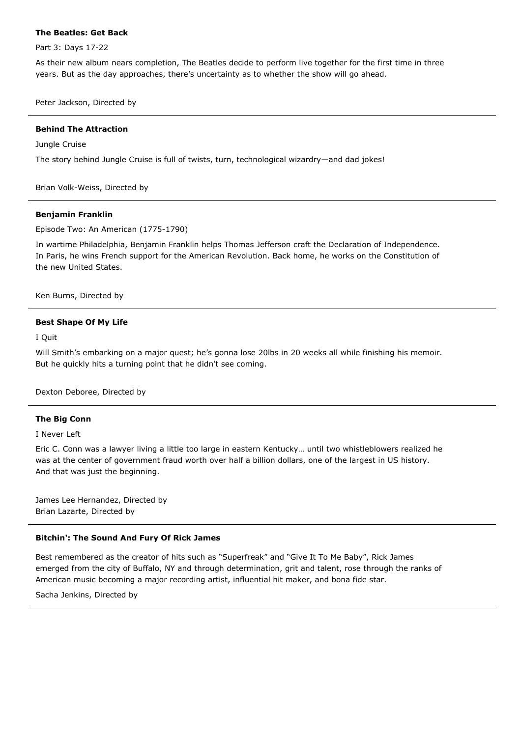### **The Beatles: Get Back**

Part 3: Days 17-22

As their new album nears completion, The Beatles decide to perform live together for the first time in three years. But as the day approaches, there's uncertainty as to whether the show will go ahead.

Peter Jackson, Directed by

### **Behind The Attraction**

#### Jungle Cruise

The story behind Jungle Cruise is full of twists, turn, technological wizardry—and dad jokes!

Brian Volk-Weiss, Directed by

#### **Benjamin Franklin**

Episode Two: An American (1775-1790)

In wartime Philadelphia, Benjamin Franklin helps Thomas Jefferson craft the Declaration of Independence. In Paris, he wins French support for the American Revolution. Back home, he works on the Constitution of the new United States.

Ken Burns, Directed by

### **Best Shape Of My Life**

I Quit

Will Smith's embarking on a major quest; he's gonna lose 20lbs in 20 weeks all while finishing his memoir. But he quickly hits a turning point that he didn't see coming.

Dexton Deboree, Directed by

### **The Big Conn**

I Never Left

Eric C. Conn was a lawyer living a little too large in eastern Kentucky… until two whistleblowers realized he was at the center of government fraud worth over half a billion dollars, one of the largest in US history. And that was just the beginning.

James Lee Hernandez, Directed by Brian Lazarte, Directed by

### **Bitchin': The Sound And Fury Of Rick James**

Best remembered as the creator of hits such as "Superfreak" and "Give It To Me Baby", Rick James emerged from the city of Buffalo, NY and through determination, grit and talent, rose through the ranks of American music becoming a major recording artist, influential hit maker, and bona fide star.

Sacha Jenkins, Directed by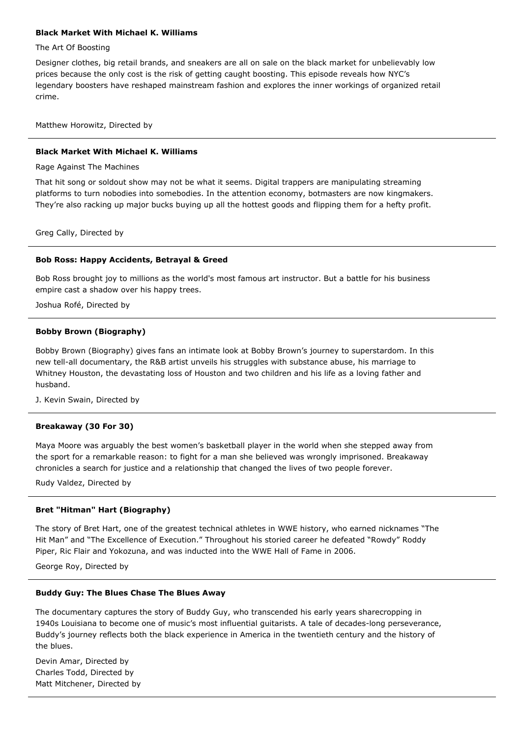# **Black Market With Michael K. Williams**

### The Art Of Boosting

Designer clothes, big retail brands, and sneakers are all on sale on the black market for unbelievably low prices because the only cost is the risk of getting caught boosting. This episode reveals how NYC's legendary boosters have reshaped mainstream fashion and explores the inner workings of organized retail crime.

Matthew Horowitz, Directed by

### **Black Market With Michael K. Williams**

Rage Against The Machines

That hit song or soldout show may not be what it seems. Digital trappers are manipulating streaming platforms to turn nobodies into somebodies. In the attention economy, botmasters are now kingmakers. They're also racking up major bucks buying up all the hottest goods and flipping them for a hefty profit.

Greg Cally, Directed by

### **Bob Ross: Happy Accidents, Betrayal & Greed**

Bob Ross brought joy to millions as the world's most famous art instructor. But a battle for his business empire cast a shadow over his happy trees.

Joshua Rofé, Directed by

# **Bobby Brown (Biography)**

Bobby Brown (Biography) gives fans an intimate look at Bobby Brown's journey to superstardom. In this new tell-all documentary, the R&B artist unveils his struggles with substance abuse, his marriage to Whitney Houston, the devastating loss of Houston and two children and his life as a loving father and husband.

J. Kevin Swain, Directed by

### **Breakaway (30 For 30)**

Maya Moore was arguably the best women's basketball player in the world when she stepped away from the sport for a remarkable reason: to fight for a man she believed was wrongly imprisoned. Breakaway chronicles a search for justice and a relationship that changed the lives of two people forever.

Rudy Valdez, Directed by

### **Bret "Hitman" Hart (Biography)**

The story of Bret Hart, one of the greatest technical athletes in WWE history, who earned nicknames "The Hit Man" and "The Excellence of Execution." Throughout his storied career he defeated "Rowdy" Roddy Piper, Ric Flair and Yokozuna, and was inducted into the WWE Hall of Fame in 2006.

George Roy, Directed by

### **Buddy Guy: The Blues Chase The Blues Away**

The documentary captures the story of Buddy Guy, who transcended his early years sharecropping in 1940s Louisiana to become one of music's most influential guitarists. A tale of decades-long perseverance, Buddy's journey reflects both the black experience in America in the twentieth century and the history of the blues.

Devin Amar, Directed by Charles Todd, Directed by Matt Mitchener, Directed by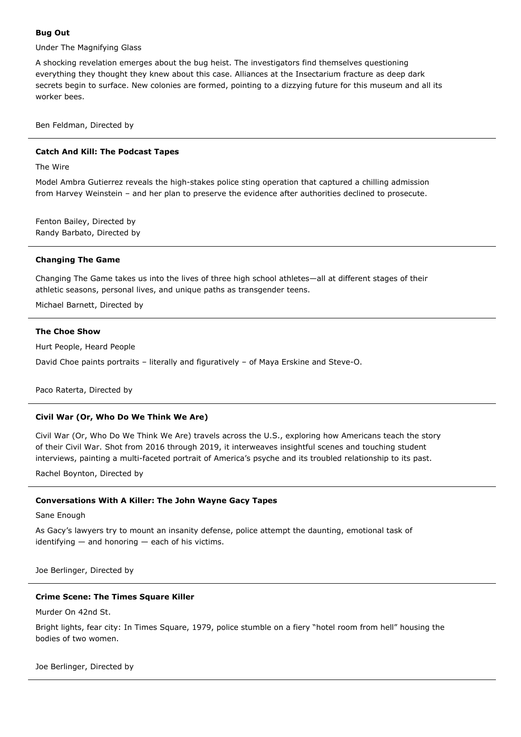# **Bug Out**

Under The Magnifying Glass

A shocking revelation emerges about the bug heist. The investigators find themselves questioning everything they thought they knew about this case. Alliances at the Insectarium fracture as deep dark secrets begin to surface. New colonies are formed, pointing to a dizzying future for this museum and all its worker bees.

Ben Feldman, Directed by

## **Catch And Kill: The Podcast Tapes**

The Wire

Model Ambra Gutierrez reveals the high-stakes police sting operation that captured a chilling admission from Harvey Weinstein – and her plan to preserve the evidence after authorities declined to prosecute.

Fenton Bailey, Directed by Randy Barbato, Directed by

### **Changing The Game**

Changing The Game takes us into the lives of three high school athletes—all at different stages of their athletic seasons, personal lives, and unique paths as transgender teens.

Michael Barnett, Directed by

# **The Choe Show**

Hurt People, Heard People

David Choe paints portraits – literally and figuratively – of Maya Erskine and Steve-O.

Paco Raterta, Directed by

### **Civil War (Or, Who Do We Think We Are)**

Civil War (Or, Who Do We Think We Are) travels across the U.S., exploring how Americans teach the story of their Civil War. Shot from 2016 through 2019, it interweaves insightful scenes and touching student interviews, painting a multi-faceted portrait of America's psyche and its troubled relationship to its past.

Rachel Boynton, Directed by

### **Conversations With A Killer: The John Wayne Gacy Tapes**

Sane Enough

As Gacy's lawyers try to mount an insanity defense, police attempt the daunting, emotional task of identifying  $-$  and honoring  $-$  each of his victims.

Joe Berlinger, Directed by

# **Crime Scene: The Times Square Killer**

Murder On 42nd St.

Bright lights, fear city: In Times Square, 1979, police stumble on a fiery "hotel room from hell" housing the bodies of two women.

Joe Berlinger, Directed by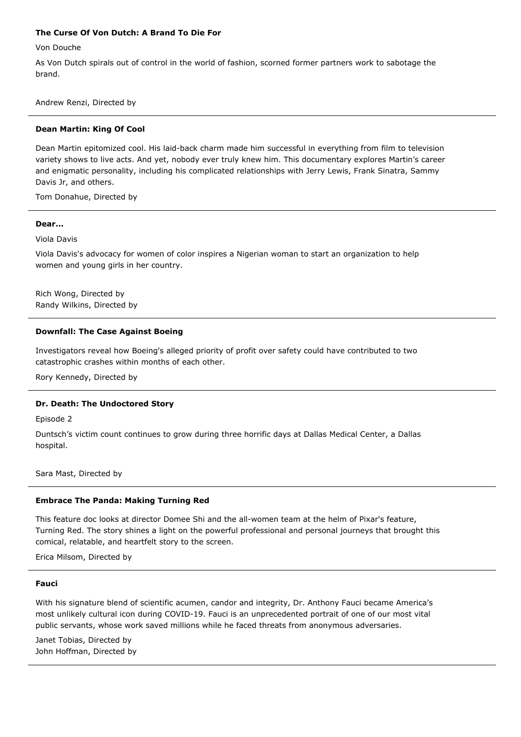# **The Curse Of Von Dutch: A Brand To Die For**

Von Douche

As Von Dutch spirals out of control in the world of fashion, scorned former partners work to sabotage the brand.

Andrew Renzi, Directed by

#### **Dean Martin: King Of Cool**

Dean Martin epitomized cool. His laid-back charm made him successful in everything from film to television variety shows to live acts. And yet, nobody ever truly knew him. This documentary explores Martin's career and enigmatic personality, including his complicated relationships with Jerry Lewis, Frank Sinatra, Sammy Davis Jr, and others.

Tom Donahue, Directed by

#### **Dear...**

Viola Davis

Viola Davis's advocacy for women of color inspires a Nigerian woman to start an organization to help women and young girls in her country.

Rich Wong, Directed by Randy Wilkins, Directed by

### **Downfall: The Case Against Boeing**

Investigators reveal how Boeing's alleged priority of profit over safety could have contributed to two catastrophic crashes within months of each other.

Rory Kennedy, Directed by

#### **Dr. Death: The Undoctored Story**

Episode 2

Duntsch's victim count continues to grow during three horrific days at Dallas Medical Center, a Dallas hospital.

Sara Mast, Directed by

#### **Embrace The Panda: Making Turning Red**

This feature doc looks at director Domee Shi and the all-women team at the helm of Pixar's feature, Turning Red. The story shines a light on the powerful professional and personal journeys that brought this comical, relatable, and heartfelt story to the screen.

Erica Milsom, Directed by

#### **Fauci**

With his signature blend of scientific acumen, candor and integrity, Dr. Anthony Fauci became America's most unlikely cultural icon during COVID-19. Fauci is an unprecedented portrait of one of our most vital public servants, whose work saved millions while he faced threats from anonymous adversaries.

Janet Tobias, Directed by John Hoffman, Directed by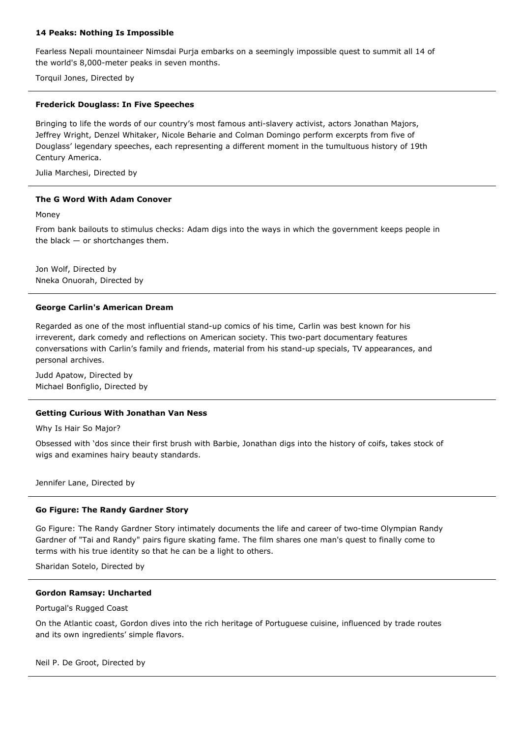# **14 Peaks: Nothing Is Impossible**

Fearless Nepali mountaineer Nimsdai Purja embarks on a seemingly impossible quest to summit all 14 of the world's 8,000-meter peaks in seven months.

Torquil Jones, Directed by

### **Frederick Douglass: In Five Speeches**

Bringing to life the words of our country's most famous anti-slavery activist, actors Jonathan Majors, Jeffrey Wright, Denzel Whitaker, Nicole Beharie and Colman Domingo perform excerpts from five of Douglass' legendary speeches, each representing a different moment in the tumultuous history of 19th Century America.

Julia Marchesi, Directed by

# **The G Word With Adam Conover**

Money

From bank bailouts to stimulus checks: Adam digs into the ways in which the government keeps people in the black — or shortchanges them.

Jon Wolf, Directed by Nneka Onuorah, Directed by

# **George Carlin's American Dream**

Regarded as one of the most influential stand-up comics of his time, Carlin was best known for his irreverent, dark comedy and reflections on American society. This two-part documentary features conversations with Carlin's family and friends, material from his stand-up specials, TV appearances, and personal archives.

Judd Apatow, Directed by Michael Bonfiglio, Directed by

# **Getting Curious With Jonathan Van Ness**

Why Is Hair So Major?

Obsessed with 'dos since their first brush with Barbie, Jonathan digs into the history of coifs, takes stock of wigs and examines hairy beauty standards.

Jennifer Lane, Directed by

### **Go Figure: The Randy Gardner Story**

Go Figure: The Randy Gardner Story intimately documents the life and career of two-time Olympian Randy Gardner of "Tai and Randy" pairs figure skating fame. The film shares one man's quest to finally come to terms with his true identity so that he can be a light to others.

Sharidan Sotelo, Directed by

### **Gordon Ramsay: Uncharted**

Portugal's Rugged Coast

On the Atlantic coast, Gordon dives into the rich heritage of Portuguese cuisine, influenced by trade routes and its own ingredients' simple flavors.

Neil P. De Groot, Directed by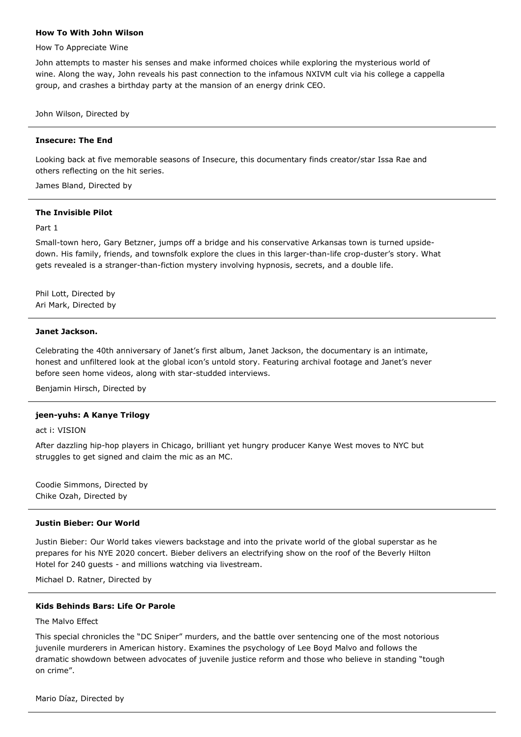#### **How To With John Wilson**

How To Appreciate Wine

John attempts to master his senses and make informed choices while exploring the mysterious world of wine. Along the way, John reveals his past connection to the infamous NXIVM cult via his college a cappella group, and crashes a birthday party at the mansion of an energy drink CEO.

John Wilson, Directed by

# **Insecure: The End**

Looking back at five memorable seasons of Insecure, this documentary finds creator/star Issa Rae and others reflecting on the hit series.

James Bland, Directed by

#### **The Invisible Pilot**

Part 1

Small-town hero, Gary Betzner, jumps off a bridge and his conservative Arkansas town is turned upsidedown. His family, friends, and townsfolk explore the clues in this larger-than-life crop-duster's story. What gets revealed is a stranger-than-fiction mystery involving hypnosis, secrets, and a double life.

Phil Lott, Directed by Ari Mark, Directed by

#### **Janet Jackson.**

Celebrating the 40th anniversary of Janet's first album, Janet Jackson, the documentary is an intimate, honest and unfiltered look at the global icon's untold story. Featuring archival footage and Janet's never before seen home videos, along with star-studded interviews.

Benjamin Hirsch, Directed by

### **jeen-yuhs: A Kanye Trilogy**

act i: VISION

After dazzling hip-hop players in Chicago, brilliant yet hungry producer Kanye West moves to NYC but struggles to get signed and claim the mic as an MC.

Coodie Simmons, Directed by Chike Ozah, Directed by

### **Justin Bieber: Our World**

Justin Bieber: Our World takes viewers backstage and into the private world of the global superstar as he prepares for his NYE 2020 concert. Bieber delivers an electrifying show on the roof of the Beverly Hilton Hotel for 240 guests - and millions watching via livestream.

Michael D. Ratner, Directed by

#### **Kids Behinds Bars: Life Or Parole**

The Malvo Effect

This special chronicles the "DC Sniper" murders, and the battle over sentencing one of the most notorious juvenile murderers in American history. Examines the psychology of Lee Boyd Malvo and follows the dramatic showdown between advocates of juvenile justice reform and those who believe in standing "tough on crime".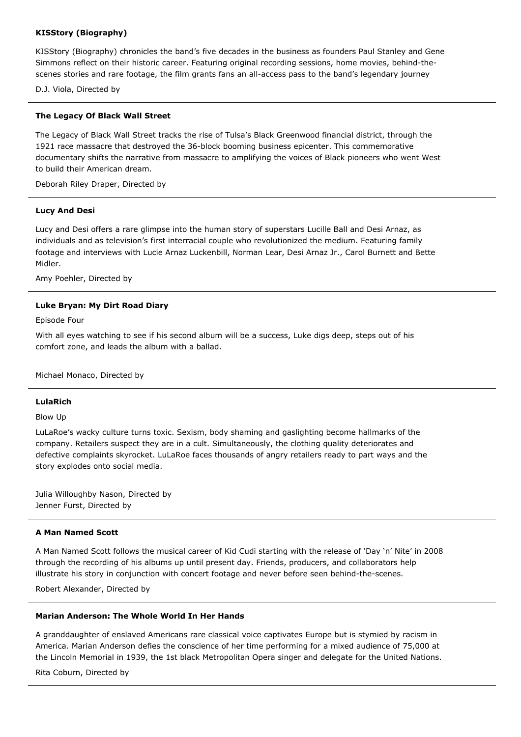# **KISStory (Biography)**

KISStory (Biography) chronicles the band's five decades in the business as founders Paul Stanley and Gene Simmons reflect on their historic career. Featuring original recording sessions, home movies, behind-thescenes stories and rare footage, the film grants fans an all-access pass to the band's legendary journey

D.J. Viola, Directed by

### **The Legacy Of Black Wall Street**

The Legacy of Black Wall Street tracks the rise of Tulsa's Black Greenwood financial district, through the 1921 race massacre that destroyed the 36-block booming business epicenter. This commemorative documentary shifts the narrative from massacre to amplifying the voices of Black pioneers who went West to build their American dream.

Deborah Riley Draper, Directed by

### **Lucy And Desi**

Lucy and Desi offers a rare glimpse into the human story of superstars Lucille Ball and Desi Arnaz, as individuals and as television's first interracial couple who revolutionized the medium. Featuring family footage and interviews with Lucie Arnaz Luckenbill, Norman Lear, Desi Arnaz Jr., Carol Burnett and Bette Midler.

Amy Poehler, Directed by

# **Luke Bryan: My Dirt Road Diary**

Episode Four

With all eyes watching to see if his second album will be a success, Luke digs deep, steps out of his comfort zone, and leads the album with a ballad.

Michael Monaco, Directed by

### **LulaRich**

Blow Up

LuLaRoe's wacky culture turns toxic. Sexism, body shaming and gaslighting become hallmarks of the company. Retailers suspect they are in a cult. Simultaneously, the clothing quality deteriorates and defective complaints skyrocket. LuLaRoe faces thousands of angry retailers ready to part ways and the story explodes onto social media.

Julia Willoughby Nason, Directed by Jenner Furst, Directed by

### **A Man Named Scott**

A Man Named Scott follows the musical career of Kid Cudi starting with the release of 'Day 'n' Nite' in 2008 through the recording of his albums up until present day. Friends, producers, and collaborators help illustrate his story in conjunction with concert footage and never before seen behind-the-scenes.

Robert Alexander, Directed by

### **Marian Anderson: The Whole World In Her Hands**

A granddaughter of enslaved Americans rare classical voice captivates Europe but is stymied by racism in America. Marian Anderson defies the conscience of her time performing for a mixed audience of 75,000 at the Lincoln Memorial in 1939, the 1st black Metropolitan Opera singer and delegate for the United Nations.

Rita Coburn, Directed by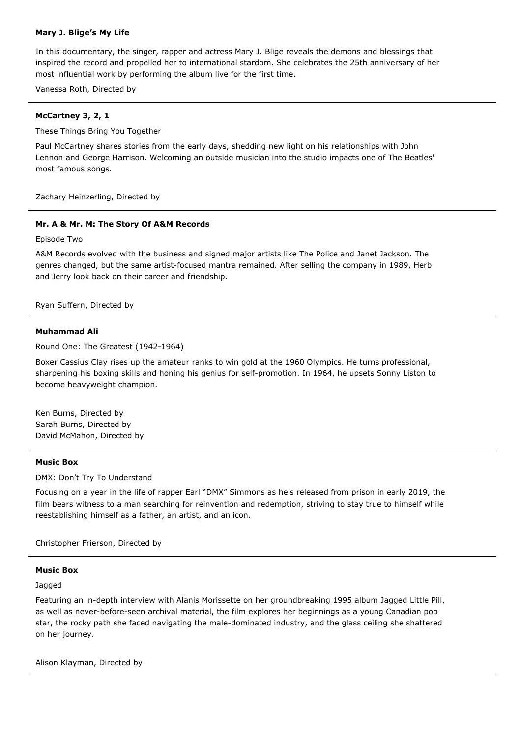# **Mary J. Blige's My Life**

In this documentary, the singer, rapper and actress Mary J. Blige reveals the demons and blessings that inspired the record and propelled her to international stardom. She celebrates the 25th anniversary of her most influential work by performing the album live for the first time.

Vanessa Roth, Directed by

# **McCartney 3, 2, 1**

These Things Bring You Together

Paul McCartney shares stories from the early days, shedding new light on his relationships with John Lennon and George Harrison. Welcoming an outside musician into the studio impacts one of The Beatles' most famous songs.

Zachary Heinzerling, Directed by

# **Mr. A & Mr. M: The Story Of A&M Records**

Episode Two

A&M Records evolved with the business and signed major artists like The Police and Janet Jackson. The genres changed, but the same artist-focused mantra remained. After selling the company in 1989, Herb and Jerry look back on their career and friendship.

Ryan Suffern, Directed by

#### **Muhammad Ali**

Round One: The Greatest (1942-1964)

Boxer Cassius Clay rises up the amateur ranks to win gold at the 1960 Olympics. He turns professional, sharpening his boxing skills and honing his genius for self-promotion. In 1964, he upsets Sonny Liston to become heavyweight champion.

Ken Burns, Directed by Sarah Burns, Directed by David McMahon, Directed by

### **Music Box**

DMX: Don't Try To Understand

Focusing on a year in the life of rapper Earl "DMX" Simmons as he's released from prison in early 2019, the film bears witness to a man searching for reinvention and redemption, striving to stay true to himself while reestablishing himself as a father, an artist, and an icon.

Christopher Frierson, Directed by

# **Music Box**

Jagged

Featuring an in-depth interview with Alanis Morissette on her groundbreaking 1995 album Jagged Little Pill, as well as never-before-seen archival material, the film explores her beginnings as a young Canadian pop star, the rocky path she faced navigating the male-dominated industry, and the glass ceiling she shattered on her journey.

Alison Klayman, Directed by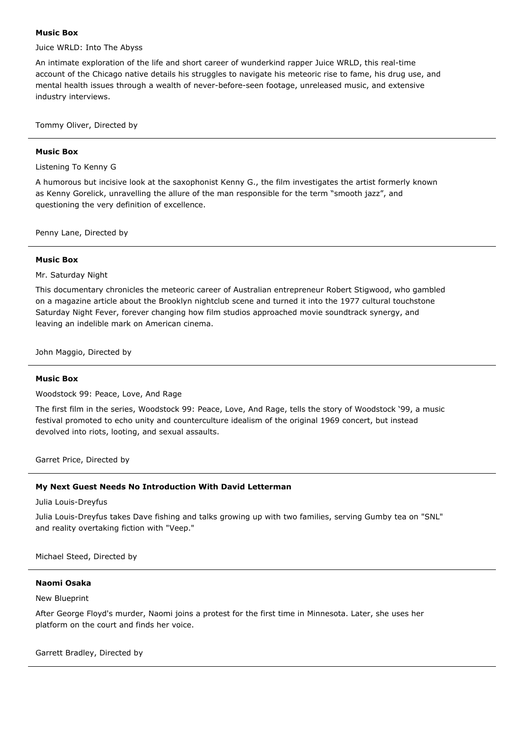### **Music Box**

Juice WRLD: Into The Abyss

An intimate exploration of the life and short career of wunderkind rapper Juice WRLD, this real-time account of the Chicago native details his struggles to navigate his meteoric rise to fame, his drug use, and mental health issues through a wealth of never-before-seen footage, unreleased music, and extensive industry interviews.

Tommy Oliver, Directed by

### **Music Box**

# Listening To Kenny G

A humorous but incisive look at the saxophonist Kenny G., the film investigates the artist formerly known as Kenny Gorelick, unravelling the allure of the man responsible for the term "smooth jazz", and questioning the very definition of excellence.

Penny Lane, Directed by

# **Music Box**

Mr. Saturday Night

This documentary chronicles the meteoric career of Australian entrepreneur Robert Stigwood, who gambled on a magazine article about the Brooklyn nightclub scene and turned it into the 1977 cultural touchstone Saturday Night Fever, forever changing how film studios approached movie soundtrack synergy, and leaving an indelible mark on American cinema.

John Maggio, Directed by

### **Music Box**

Woodstock 99: Peace, Love, And Rage

The first film in the series, Woodstock 99: Peace, Love, And Rage, tells the story of Woodstock '99, a music festival promoted to echo unity and counterculture idealism of the original 1969 concert, but instead devolved into riots, looting, and sexual assaults.

Garret Price, Directed by

### **My Next Guest Needs No Introduction With David Letterman**

Julia Louis-Dreyfus

Julia Louis-Dreyfus takes Dave fishing and talks growing up with two families, serving Gumby tea on "SNL" and reality overtaking fiction with "Veep."

Michael Steed, Directed by

### **Naomi Osaka**

#### New Blueprint

After George Floyd's murder, Naomi joins a protest for the first time in Minnesota. Later, she uses her platform on the court and finds her voice.

Garrett Bradley, Directed by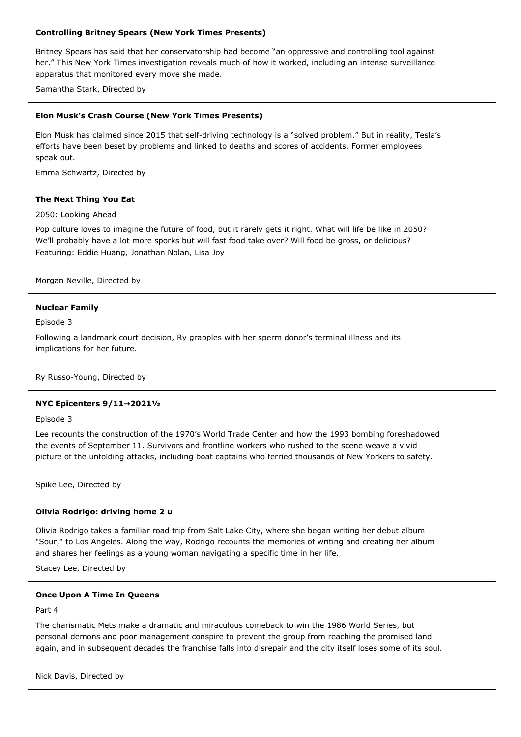# **Controlling Britney Spears (New York Times Presents)**

Britney Spears has said that her conservatorship had become "an oppressive and controlling tool against her." This New York Times investigation reveals much of how it worked, including an intense surveillance apparatus that monitored every move she made.

Samantha Stark, Directed by

# **Elon Musk's Crash Course (New York Times Presents)**

Elon Musk has claimed since 2015 that self-driving technology is a "solved problem." But in reality, Tesla's efforts have been beset by problems and linked to deaths and scores of accidents. Former employees speak out.

Emma Schwartz, Directed by

### **The Next Thing You Eat**

### 2050: Looking Ahead

Pop culture loves to imagine the future of food, but it rarely gets it right. What will life be like in 2050? We'll probably have a lot more sporks but will fast food take over? Will food be gross, or delicious? Featuring: Eddie Huang, Jonathan Nolan, Lisa Joy

Morgan Neville, Directed by

### **Nuclear Family**

Episode 3

Following a landmark court decision, Ry grapples with her sperm donor's terminal illness and its implications for her future.

Ry Russo-Young, Directed by

### **NYC Epicenters 9/11→2021½**

#### Episode 3

Lee recounts the construction of the 1970's World Trade Center and how the 1993 bombing foreshadowed the events of September 11. Survivors and frontline workers who rushed to the scene weave a vivid picture of the unfolding attacks, including boat captains who ferried thousands of New Yorkers to safety.

Spike Lee, Directed by

### **Olivia Rodrigo: driving home 2 u**

Olivia Rodrigo takes a familiar road trip from Salt Lake City, where she began writing her debut album "Sour," to Los Angeles. Along the way, Rodrigo recounts the memories of writing and creating her album and shares her feelings as a young woman navigating a specific time in her life.

Stacey Lee, Directed by

#### **Once Upon A Time In Queens**

Part 4

The charismatic Mets make a dramatic and miraculous comeback to win the 1986 World Series, but personal demons and poor management conspire to prevent the group from reaching the promised land again, and in subsequent decades the franchise falls into disrepair and the city itself loses some of its soul.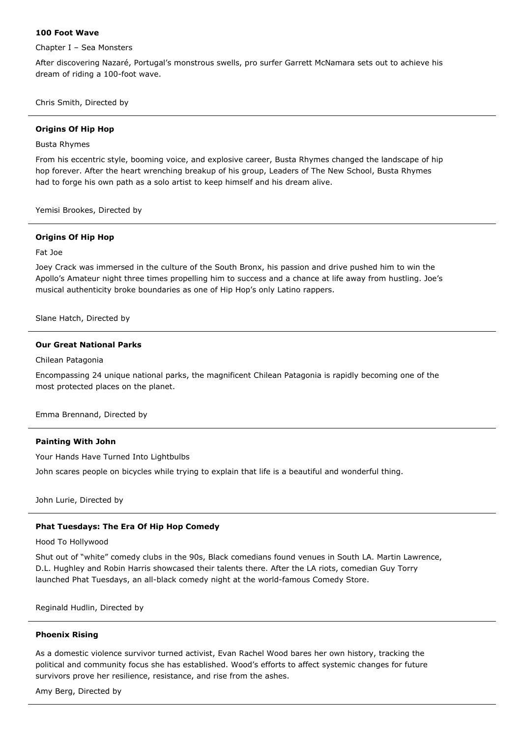# **100 Foot Wave**

Chapter I – Sea Monsters

After discovering Nazaré, Portugal's monstrous swells, pro surfer Garrett McNamara sets out to achieve his dream of riding a 100-foot wave.

Chris Smith, Directed by

# **Origins Of Hip Hop**

### Busta Rhymes

From his eccentric style, booming voice, and explosive career, Busta Rhymes changed the landscape of hip hop forever. After the heart wrenching breakup of his group, Leaders of The New School, Busta Rhymes had to forge his own path as a solo artist to keep himself and his dream alive.

Yemisi Brookes, Directed by

# **Origins Of Hip Hop**

Fat Joe

Joey Crack was immersed in the culture of the South Bronx, his passion and drive pushed him to win the Apollo's Amateur night three times propelling him to success and a chance at life away from hustling. Joe's musical authenticity broke boundaries as one of Hip Hop's only Latino rappers.

Slane Hatch, Directed by

# **Our Great National Parks**

### Chilean Patagonia

Encompassing 24 unique national parks, the magnificent Chilean Patagonia is rapidly becoming one of the most protected places on the planet.

Emma Brennand, Directed by

# **Painting With John**

Your Hands Have Turned Into Lightbulbs

John scares people on bicycles while trying to explain that life is a beautiful and wonderful thing.

John Lurie, Directed by

# **Phat Tuesdays: The Era Of Hip Hop Comedy**

Hood To Hollywood

Shut out of "white" comedy clubs in the 90s, Black comedians found venues in South LA. Martin Lawrence, D.L. Hughley and Robin Harris showcased their talents there. After the LA riots, comedian Guy Torry launched Phat Tuesdays, an all-black comedy night at the world-famous Comedy Store.

Reginald Hudlin, Directed by

### **Phoenix Rising**

As a domestic violence survivor turned activist, Evan Rachel Wood bares her own history, tracking the political and community focus she has established. Wood's efforts to affect systemic changes for future survivors prove her resilience, resistance, and rise from the ashes.

Amy Berg, Directed by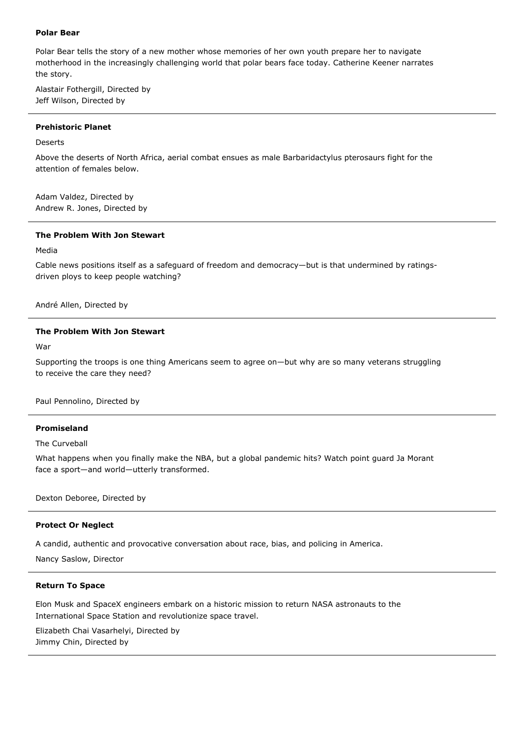# **Polar Bear**

Polar Bear tells the story of a new mother whose memories of her own youth prepare her to navigate motherhood in the increasingly challenging world that polar bears face today. Catherine Keener narrates the story.

Alastair Fothergill, Directed by Jeff Wilson, Directed by

#### **Prehistoric Planet**

Deserts

Above the deserts of North Africa, aerial combat ensues as male Barbaridactylus pterosaurs fight for the attention of females below.

Adam Valdez, Directed by Andrew R. Jones, Directed by

### **The Problem With Jon Stewart**

Media

Cable news positions itself as a safeguard of freedom and democracy—but is that undermined by ratingsdriven ploys to keep people watching?

André Allen, Directed by

# **The Problem With Jon Stewart**

War

Supporting the troops is one thing Americans seem to agree on—but why are so many veterans struggling to receive the care they need?

Paul Pennolino, Directed by

# **Promiseland**

The Curveball

What happens when you finally make the NBA, but a global pandemic hits? Watch point guard Ja Morant face a sport—and world—utterly transformed.

Dexton Deboree, Directed by

### **Protect Or Neglect**

A candid, authentic and provocative conversation about race, bias, and policing in America.

Nancy Saslow, Director

#### **Return To Space**

Elon Musk and SpaceX engineers embark on a historic mission to return NASA astronauts to the International Space Station and revolutionize space travel.

Elizabeth Chai Vasarhelyi, Directed by Jimmy Chin, Directed by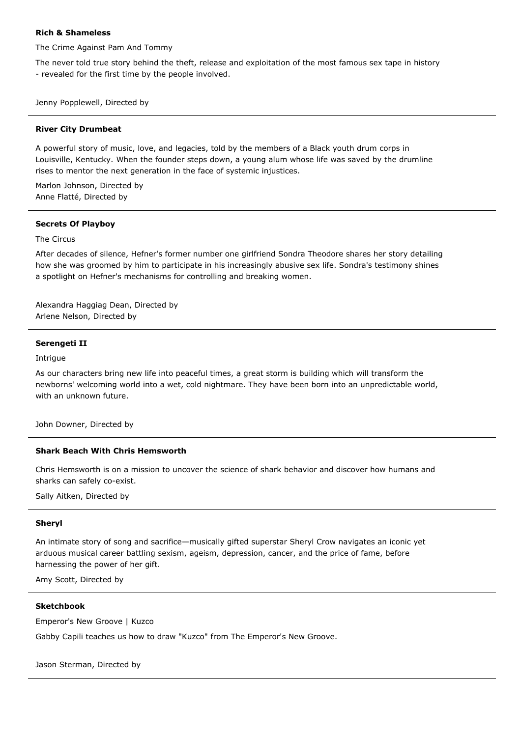# **Rich & Shameless**

The Crime Against Pam And Tommy

The never told true story behind the theft, release and exploitation of the most famous sex tape in history - revealed for the first time by the people involved.

Jenny Popplewell, Directed by

#### **River City Drumbeat**

A powerful story of music, love, and legacies, told by the members of a Black youth drum corps in Louisville, Kentucky. When the founder steps down, a young alum whose life was saved by the drumline rises to mentor the next generation in the face of systemic injustices.

Marlon Johnson, Directed by Anne Flatté, Directed by

#### **Secrets Of Playboy**

### The Circus

After decades of silence, Hefner's former number one girlfriend Sondra Theodore shares her story detailing how she was groomed by him to participate in his increasingly abusive sex life. Sondra's testimony shines a spotlight on Hefner's mechanisms for controlling and breaking women.

Alexandra Haggiag Dean, Directed by Arlene Nelson, Directed by

#### **Serengeti II**

Intrigue

As our characters bring new life into peaceful times, a great storm is building which will transform the newborns' welcoming world into a wet, cold nightmare. They have been born into an unpredictable world, with an unknown future.

John Downer, Directed by

### **Shark Beach With Chris Hemsworth**

Chris Hemsworth is on a mission to uncover the science of shark behavior and discover how humans and sharks can safely co-exist.

Sally Aitken, Directed by

### **Sheryl**

An intimate story of song and sacrifice—musically gifted superstar Sheryl Crow navigates an iconic yet arduous musical career battling sexism, ageism, depression, cancer, and the price of fame, before harnessing the power of her gift.

Amy Scott, Directed by

#### **Sketchbook**

Emperor's New Groove | Kuzco

Gabby Capili teaches us how to draw "Kuzco" from The Emperor's New Groove.

Jason Sterman, Directed by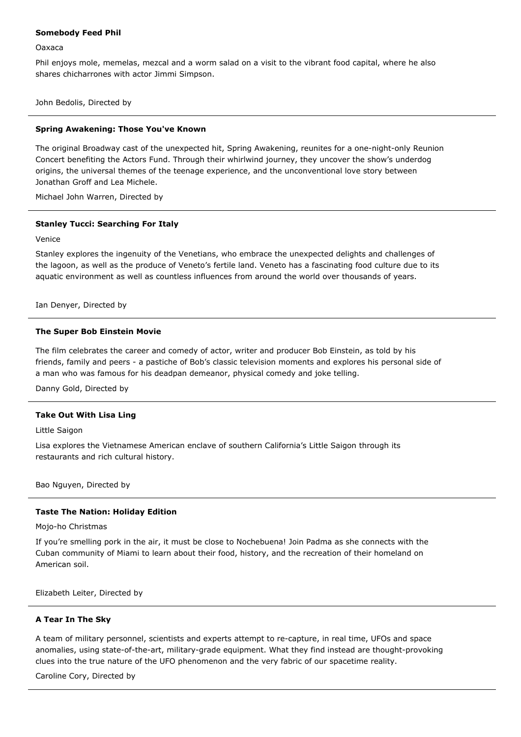### **Somebody Feed Phil**

Oaxaca

Phil enjoys mole, memelas, mezcal and a worm salad on a visit to the vibrant food capital, where he also shares chicharrones with actor Jimmi Simpson.

John Bedolis, Directed by

#### **Spring Awakening: Those You've Known**

The original Broadway cast of the unexpected hit, Spring Awakening, reunites for a one-night-only Reunion Concert benefiting the Actors Fund. Through their whirlwind journey, they uncover the show's underdog origins, the universal themes of the teenage experience, and the unconventional love story between Jonathan Groff and Lea Michele.

Michael John Warren, Directed by

### **Stanley Tucci: Searching For Italy**

Venice

Stanley explores the ingenuity of the Venetians, who embrace the unexpected delights and challenges of the lagoon, as well as the produce of Veneto's fertile land. Veneto has a fascinating food culture due to its aquatic environment as well as countless influences from around the world over thousands of years.

Ian Denyer, Directed by

#### **The Super Bob Einstein Movie**

The film celebrates the career and comedy of actor, writer and producer Bob Einstein, as told by his friends, family and peers - a pastiche of Bob's classic television moments and explores his personal side of a man who was famous for his deadpan demeanor, physical comedy and joke telling.

Danny Gold, Directed by

# **Take Out With Lisa Ling**

Little Saigon

Lisa explores the Vietnamese American enclave of southern California's Little Saigon through its restaurants and rich cultural history.

Bao Nguyen, Directed by

# **Taste The Nation: Holiday Edition**

Mojo-ho Christmas

If you're smelling pork in the air, it must be close to Nochebuena! Join Padma as she connects with the Cuban community of Miami to learn about their food, history, and the recreation of their homeland on American soil.

Elizabeth Leiter, Directed by

### **A Tear In The Sky**

A team of military personnel, scientists and experts attempt to re-capture, in real time, UFOs and space anomalies, using state-of-the-art, military-grade equipment. What they find instead are thought-provoking clues into the true nature of the UFO phenomenon and the very fabric of our spacetime reality.

Caroline Cory, Directed by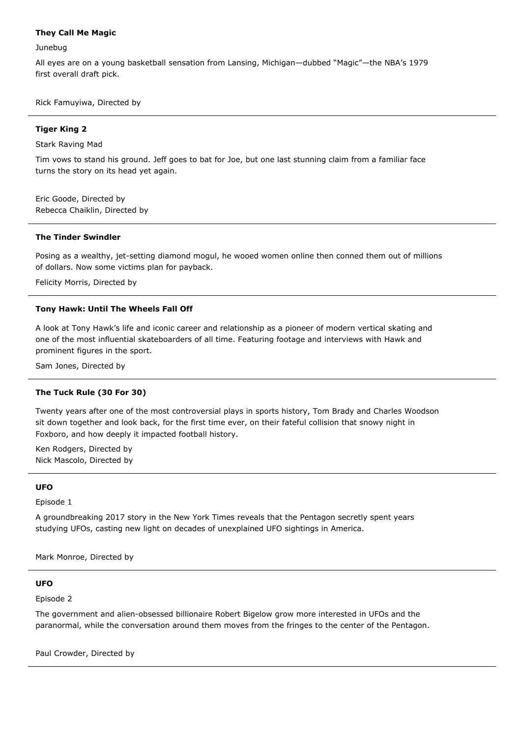# **They Call Me Magic**

Junebug

All eyes are on a young basketball sensation from Lansing, Michigan—dubbed "Magic"—the NBA's 1979 first overall draft pick.

Rick Famuyiwa, Directed by

# **Tiger King 2**

Stark Raving Mad

Tim vows to stand his ground. Jeff goes to bat for Joe, but one last stunning claim from a familiar face turns the story on its head yet again.

Eric Goode, Directed by Rebecca Chaiklin, Directed by

#### **The Tinder Swindler**

Posing as a wealthy, jet-setting diamond mogul, he wooed women online then conned them out of millions of dollars. Now some victims plan for payback.

Felicity Morris, Directed by

#### **Tony Hawk: Until The Wheels Fall Off**

A look at Tony Hawk's life and iconic career and relationship as a pioneer of modern vertical skating and one of the most influential skateboarders of all time. Featuring footage and interviews with Hawk and prominent figures in the sport.

Sam Jones, Directed by

#### **The Tuck Rule (30 For 30)**

Twenty years after one of the most controversial plays in sports history, Tom Brady and Charles Woodson sit down together and look back, for the first time ever, on their fateful collision that snowy night in Foxboro, and how deeply it impacted football history.

Ken Rodgers, Directed by Nick Mascolo, Directed by

# **UFO**

Episode 1

A groundbreaking 2017 story in the New York Times reveals that the Pentagon secretly spent years studying UFOs, casting new light on decades of unexplained UFO sightings in America.

Mark Monroe, Directed by

## **UFO**

Episode 2

The government and alien-obsessed billionaire Robert Bigelow grow more interested in UFOs and the paranormal, while the conversation around them moves from the fringes to the center of the Pentagon.

Paul Crowder, Directed by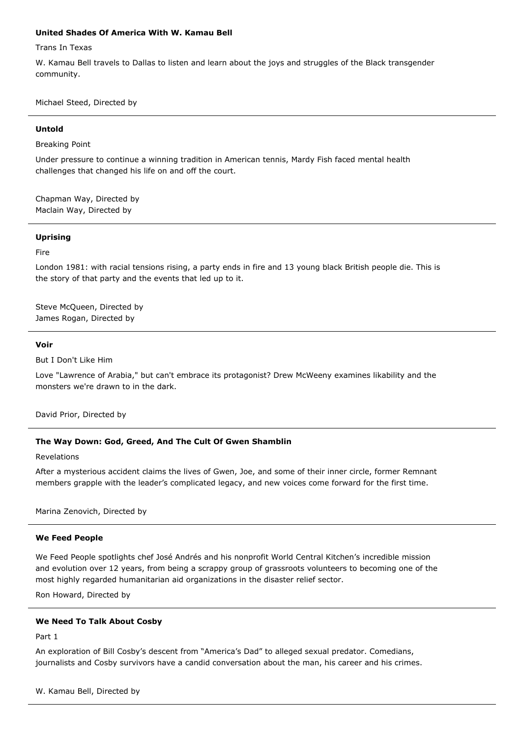## **United Shades Of America With W. Kamau Bell**

Trans In Texas

W. Kamau Bell travels to Dallas to listen and learn about the joys and struggles of the Black transgender community.

Michael Steed, Directed by

### **Untold**

Breaking Point

Under pressure to continue a winning tradition in American tennis, Mardy Fish faced mental health challenges that changed his life on and off the court.

Chapman Way, Directed by Maclain Way, Directed by

#### **Uprising**

#### Fire

London 1981: with racial tensions rising, a party ends in fire and 13 young black British people die. This is the story of that party and the events that led up to it.

Steve McQueen, Directed by James Rogan, Directed by

#### **Voir**

But I Don't Like Him

Love "Lawrence of Arabia," but can't embrace its protagonist? Drew McWeeny examines likability and the monsters we're drawn to in the dark.

David Prior, Directed by

### **The Way Down: God, Greed, And The Cult Of Gwen Shamblin**

#### Revelations

After a mysterious accident claims the lives of Gwen, Joe, and some of their inner circle, former Remnant members grapple with the leader's complicated legacy, and new voices come forward for the first time.

Marina Zenovich, Directed by

#### **We Feed People**

We Feed People spotlights chef José Andrés and his nonprofit World Central Kitchen's incredible mission and evolution over 12 years, from being a scrappy group of grassroots volunteers to becoming one of the most highly regarded humanitarian aid organizations in the disaster relief sector.

Ron Howard, Directed by

# **We Need To Talk About Cosby**

Part 1

An exploration of Bill Cosby's descent from "America's Dad" to alleged sexual predator. Comedians, journalists and Cosby survivors have a candid conversation about the man, his career and his crimes.